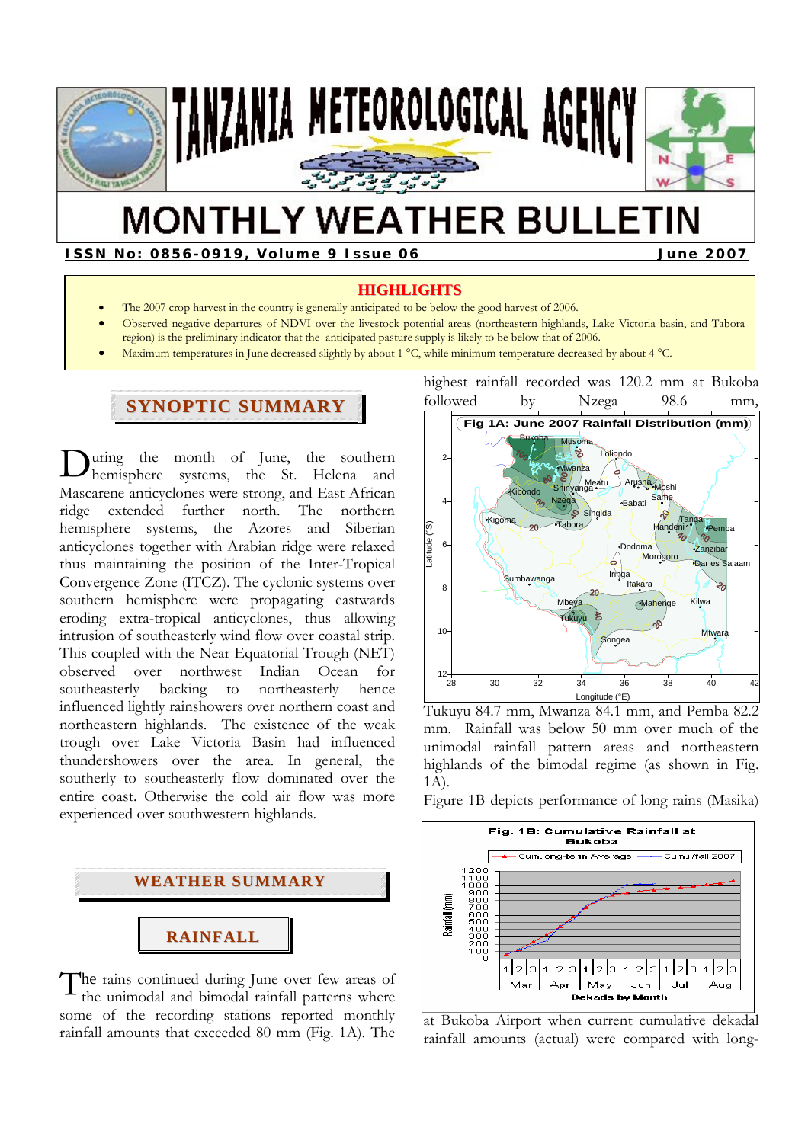

# **MONTHLY WEATHER BULLETIN**

**ISSN No: 0856-0919, Volume 9 Issue 06 June 2007** 

#### **HIGHLIGHTS**

- The 2007 crop harvest in the country is generally anticipated to be below the good harvest of 2006.
- Observed negative departures of NDVI over the livestock potential areas (northeastern highlands, Lake Victoria basin, and Tabora region) is the preliminary indicator that the anticipated pasture supply is likely to be below that of 2006.
- Maximum temperatures in June decreased slightly by about 1 °C, while minimum temperature decreased by about 4 °C.

## **SYNOPTIC SUMMARY**

uring the month of June, the southern hemisphere systems, the St. Helena and Mascarene anticyclones were strong, and East African<br>ridge extended further north. The northern ridge extended further north. The northern hemisphere systems, the Azores and Siberian anticyclones together with Arabian ridge were relaxed thus maintaining the position of the Inter-Tropical Convergence Zone (ITCZ). The cyclonic systems over southern hemisphere were propagating eastwards eroding extra-tropical anticyclones, thus allowing intrusion of southeasterly wind flow over coastal strip. This coupled with the Near Equatorial Trough (NET) observed over northwest Indian Ocean for southeasterly backing to northeasterly hence influenced lightly rainshowers over northern coast and northeastern highlands. The existence of the weak trough over Lake Victoria Basin had influenced thundershowers over the area. In general, the southerly to southeasterly flow dominated over the entire coast. Otherwise the cold air flow was more experienced over southwestern highlands.  $\mathbf{D}_{\text{he}}^{\text{u}}$ 



he rains continued during June over few areas of the unimodal and bimodal rainfall patterns where some of the recording stations reported monthly rainfall amounts that exceeded 80 mm (Fig. 1A). The T

highest rainfall recorded was 120.2 mm at Bukoba followed by Nzega 98.6 mm, **Fig 1A: June 2007 Rainfall Distribution (mm)**



Tukuyu 84.7 mm, Mwanza 84.1 mm, and Pemba 82.2 mm. Rainfall was below 50 mm over much of the unimodal rainfall pattern areas and northeastern highlands of the bimodal regime (as shown in Fig. 1A).

Figure 1B depicts performance of long rains (Masika)



at Bukoba Airport when current cumulative dekadal rainfall amounts (actual) were compared with long-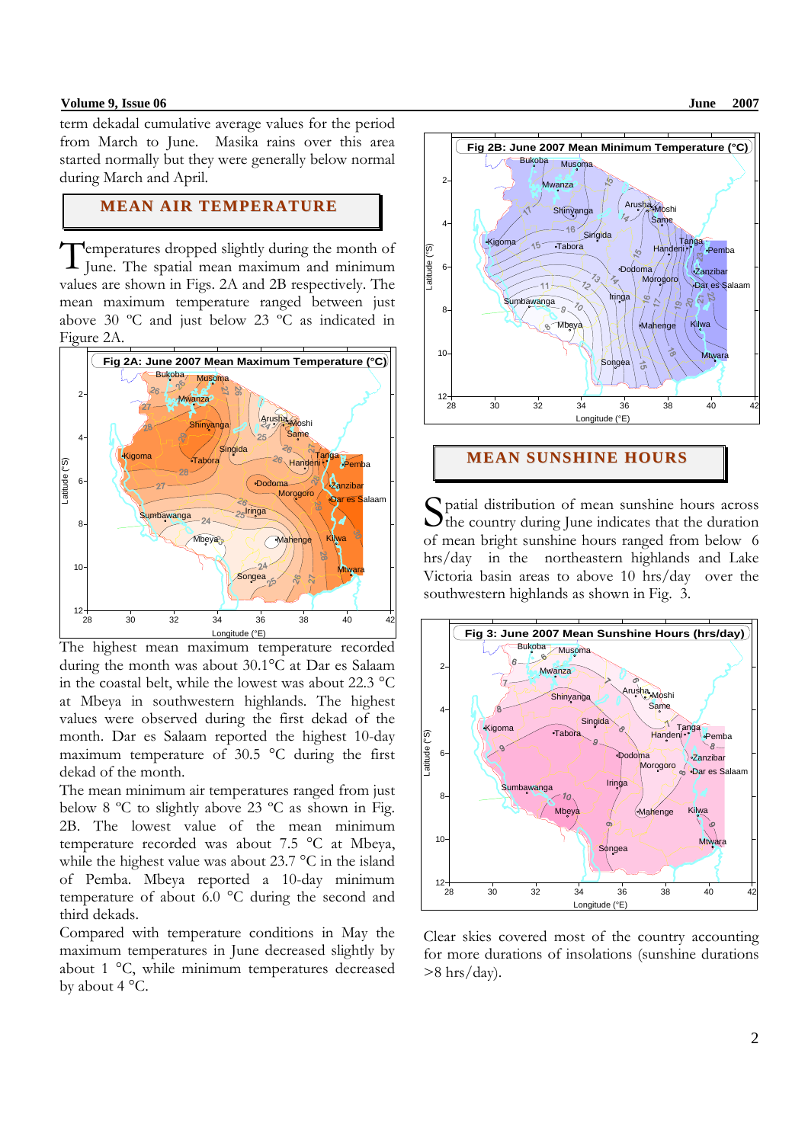#### **Volume 9, Issue 06 June 2007 June 2007**

term dekadal cumulative average values for the period from March to June.Masika rains over this area started normally but they were generally below normal during March and April.

## **MEAN AIR TEMPERATURE**

emperatures dropped slightly during the month of Temperatures dropped slightly during the month of June. The spatial mean maximum and minimum values are shown in Figs. 2A and 2B respectively. The mean maximum temperature ranged between just above 30 ºC and just below 23 ºC as indicated in Figure 2A.



The highest mean maximum temperature recorded during the month was about 30.1°C at Dar es Salaam in the coastal belt, while the lowest was about 22.3 °C at Mbeya in southwestern highlands. The highest values were observed during the first dekad of the month. Dar es Salaam reported the highest 10-day maximum temperature of 30.5 °C during the first dekad of the month.

The mean minimum air temperatures ranged from just below 8 ºC to slightly above 23 ºC as shown in Fig. 2B. The lowest value of the mean minimum temperature recorded was about 7.5 °C at Mbeya, while the highest value was about 23.7 °C in the island of Pemba. Mbeya reported a 10-day minimum temperature of about 6.0 °C during the second and third dekads.

Compared with temperature conditions in May the maximum temperatures in June decreased slightly by about 1 °C, while minimum temperatures decreased by about 4 °C.



#### **MEAN SUNSHINE HOURS**

patial distribution of mean sunshine hours across S patial distribution of mean sunshine hours across<br>the country during June indicates that the duration of mean bright sunshine hours ranged from below 6 hrs/day in the northeastern highlands and Lake Victoria basin areas to above 10 hrs/day over the southwestern highlands as shown in Fig. 3.



Clear skies covered most of the country accounting for more durations of insolations (sunshine durations  $>8$  hrs/day).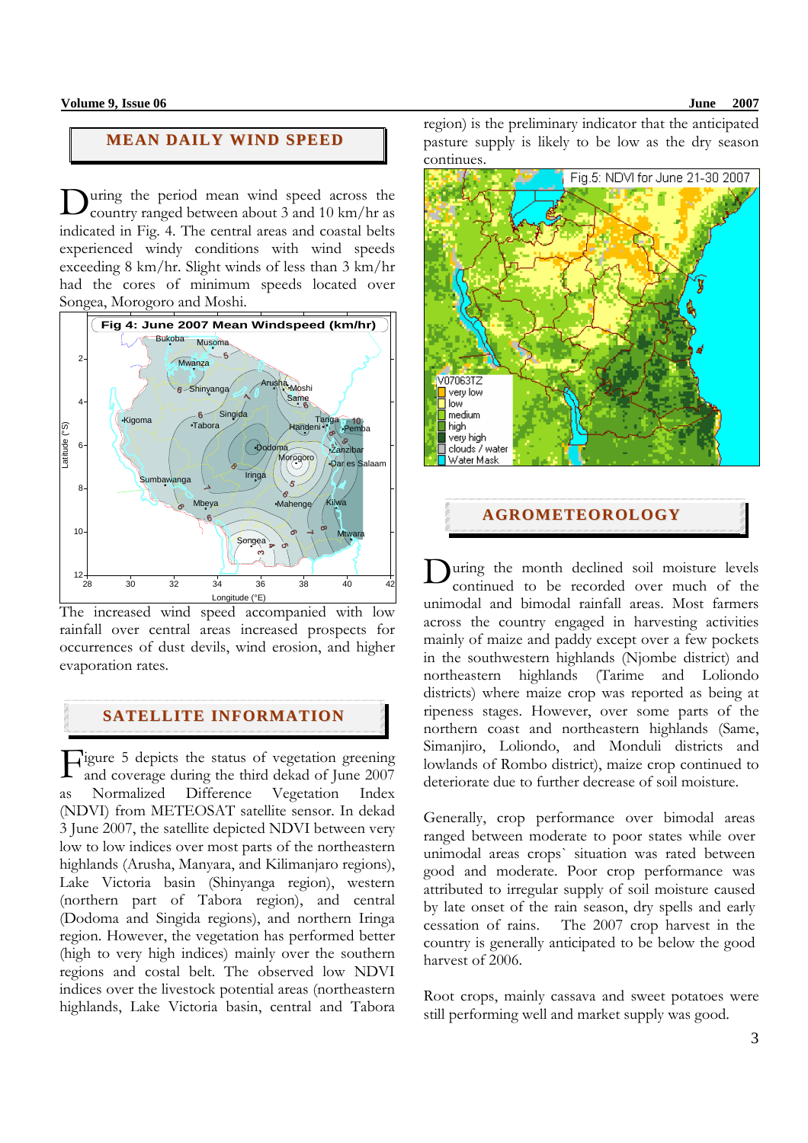## **MEAN DAILY WIND SPEED**

uring the period mean wind speed across the During the period mean wind speed across the country ranged between about 3 and 10 km/hr as indicated in Fig. 4. The central areas and coastal belts experienced windy conditions with wind speeds exceeding 8 km/hr. Slight winds of less than 3 km/hr had the cores of minimum speeds located over Songea, Morogoro and Moshi.



The increased wind speed accompanied with low rainfall over central areas increased prospects for occurrences of dust devils, wind erosion, and higher evaporation rates.

## **SATELLITE INFORMATION**

Figure 5 depicts the status of vegetation greening<br>and coverage during the third dekad of June 2007 and coverage during the third dekad of June 2007 as Normalized Difference Vegetation Index (NDVI) from METEOSAT satellite sensor. In dekad 3 June 2007, the satellite depicted NDVI between very low to low indices over most parts of the northeastern highlands (Arusha, Manyara, and Kilimanjaro regions), Lake Victoria basin (Shinyanga region), western (northern part of Tabora region), and central (Dodoma and Singida regions), and northern Iringa region. However, the vegetation has performed better (high to very high indices) mainly over the southern regions and costal belt. The observed low NDVI indices over the livestock potential areas (northeastern highlands, Lake Victoria basin, central and Tabora region) is the preliminary indicator that the anticipated pasture supply is likely to be low as the dry season continues.



**AGROMETEOROLOGY**

uring the month declined soil moisture levels continued to be recorded over much of the unimodal and bimodal rainfall areas. Most farmers across the country engaged in harvesting activities mainly of maize and paddy except over a few pockets in the southwestern highlands (Njombe district) and northeastern highlands (Tarime and Loliondo districts) where maize crop was reported as being at ripeness stages. However, over some parts of the northern coast and northeastern highlands (Same, Simanjiro, Loliondo, and Monduli districts and lowlands of Rombo district), maize crop continued to deteriorate due to further decrease of soil moisture. D

Generally, crop performance over bimodal areas ranged between moderate to poor states while over unimodal areas crops` situation was rated between good and moderate. Poor crop performance was attributed to irregular supply of soil moisture caused by late onset of the rain season, dry spells and early cessation of rains. The 2007 crop harvest in the country is generally anticipated to be below the good harvest of 2006.

Root crops, mainly cassava and sweet potatoes were still performing well and market supply was good.